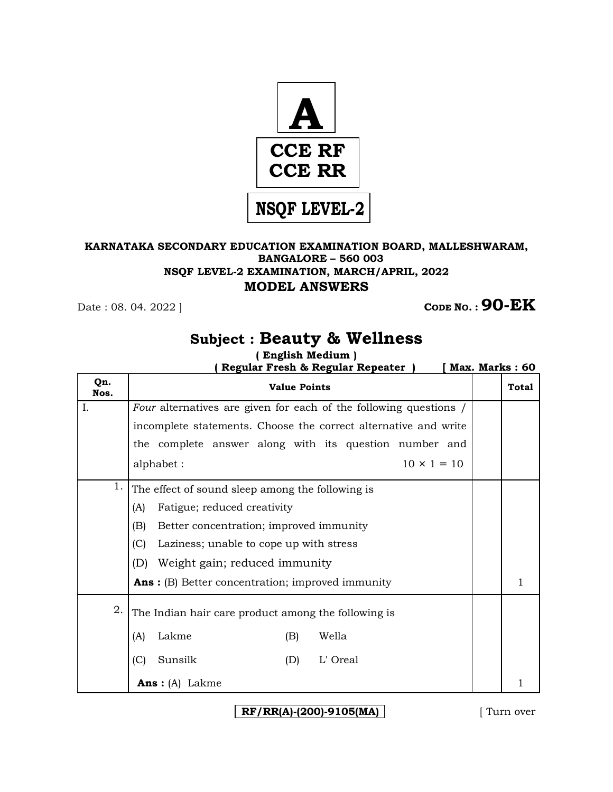

## **KARNATAKA SECONDARY EDUCATION EXAMINATION BOARD, MALLESHWARAM, BANGALORE – 560 003 NSQF LEVEL-2 EXAMINATION, MARCH/APRIL, 2022 MODEL ANSWERS**

**CODE NO. : 90-EK** 

## **Subject : Beauty & Wellness**

**( English Medium )** 

 **( Regular Fresh & Regular Repeater ) [ Max. Marks : 60** 

| Qn.<br>Nos. | <b>Value Points</b>                                               |  | Total |  |  |
|-------------|-------------------------------------------------------------------|--|-------|--|--|
| Ι.          | Four alternatives are given for each of the following questions / |  |       |  |  |
|             | incomplete statements. Choose the correct alternative and write   |  |       |  |  |
|             | the complete answer along with its question number and            |  |       |  |  |
|             | $10 \times 1 = 10$<br>alphabet:                                   |  |       |  |  |
| 1.          | The effect of sound sleep among the following is                  |  |       |  |  |
|             | Fatigue; reduced creativity<br>(A)                                |  |       |  |  |
|             | Better concentration; improved immunity<br>(B)                    |  |       |  |  |
|             | (C)<br>Laziness; unable to cope up with stress                    |  |       |  |  |
|             | (D)<br>Weight gain; reduced immunity                              |  |       |  |  |
|             | <b>Ans:</b> (B) Better concentration; improved immunity           |  | 1     |  |  |
| 2.          | The Indian hair care product among the following is               |  |       |  |  |
|             | Lakme<br>Wella<br>(A)<br>(B)                                      |  |       |  |  |
|             | (C)<br>Sunsilk<br>(D)<br>L' Oreal                                 |  |       |  |  |
|             | <b>Ans</b> : $(A)$ Lakme                                          |  | 1     |  |  |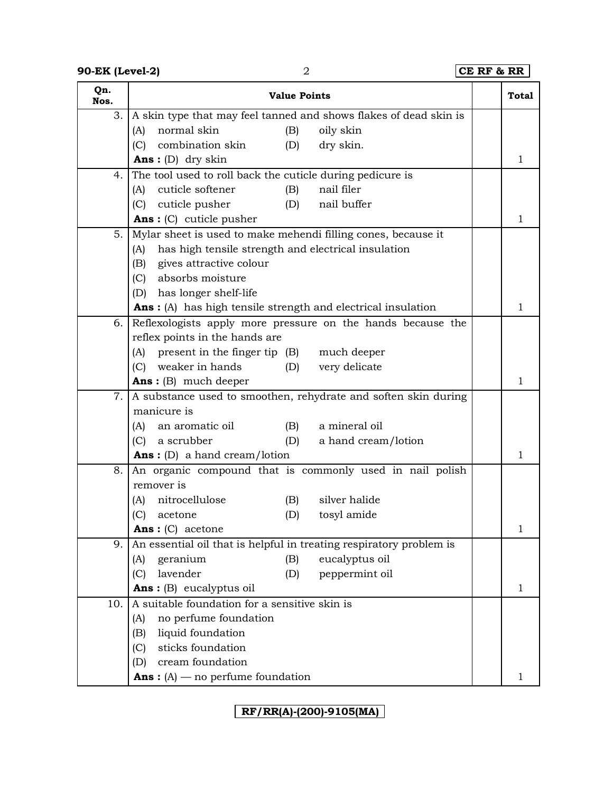**90-EK (Level-2)** 2 **CE RF & RR** 

| Qn.<br>Nos. |                                                                      | <b>Value Points</b>                                                 | <b>Total</b> |
|-------------|----------------------------------------------------------------------|---------------------------------------------------------------------|--------------|
| 3.          |                                                                      | A skin type that may feel tanned and shows flakes of dead skin is   |              |
|             | normal skin<br>(A)                                                   | oily skin<br>(B)                                                    |              |
|             | (C)<br>combination skin                                              | dry skin.<br>(D)                                                    |              |
|             | <b>Ans:</b> (D) dry skin                                             |                                                                     | 1            |
| 4.          | The tool used to roll back the cuticle during pedicure is            |                                                                     |              |
|             | cuticle softener<br>(A)                                              | nail filer<br>(B)                                                   |              |
|             | (C)<br>cuticle pusher                                                | nail buffer<br>(D)                                                  |              |
|             | <b>Ans:</b> $(C)$ cuticle pusher                                     |                                                                     | 1            |
| 5.          | Mylar sheet is used to make mehendi filling cones, because it        |                                                                     |              |
|             | has high tensile strength and electrical insulation<br>(A)           |                                                                     |              |
|             | gives attractive colour<br>(B)                                       |                                                                     |              |
|             | absorbs moisture<br>(C)                                              |                                                                     |              |
|             | (D) has longer shelf-life                                            |                                                                     |              |
|             | <b>Ans</b> : (A) has high tensile strength and electrical insulation |                                                                     | $\mathbf{1}$ |
| 6.          |                                                                      | Reflexologists apply more pressure on the hands because the         |              |
|             | reflex points in the hands are                                       |                                                                     |              |
|             | (A) present in the finger tip (B) much deeper                        |                                                                     |              |
|             | weaker in hands<br>(C)                                               | very delicate<br>(D)                                                |              |
|             | <b>Ans:</b> $(B)$ much deeper                                        |                                                                     | 1            |
| 7.          |                                                                      | A substance used to smoothen, rehydrate and soften skin during      |              |
|             | manicure is                                                          |                                                                     |              |
|             | an aromatic oil<br>(A)                                               | a mineral oil<br>(B)                                                |              |
|             | a scrubber<br>(C)                                                    | (D)<br>a hand cream/lotion                                          |              |
|             | <b>Ans:</b> (D) a hand cream/lotion                                  |                                                                     | 1            |
| 8.          | remover is                                                           | An organic compound that is commonly used in nail polish            |              |
|             | nitrocellulose<br>(A)                                                | silver halide<br>(B)                                                |              |
|             | (C)<br>acetone                                                       | (D)<br>tosyl amide                                                  |              |
|             | $Ans: (C)$ acetone                                                   |                                                                     | 1            |
| 9.          |                                                                      | An essential oil that is helpful in treating respiratory problem is |              |
|             | geranium<br>(A)                                                      | eucalyptus oil<br>(B)                                               |              |
|             | lavender<br>(C)                                                      | peppermint oil<br>(D)                                               |              |
|             | Ans: (B) eucalyptus oil                                              |                                                                     | $\mathbf{1}$ |
| 10.         | A suitable foundation for a sensitive skin is                        |                                                                     |              |
|             | no perfume foundation<br>(A)                                         |                                                                     |              |
|             | liquid foundation<br>(B)                                             |                                                                     |              |
|             | sticks foundation<br>(C)                                             |                                                                     |              |
|             | cream foundation<br>(D)                                              |                                                                     |              |
|             | <b>Ans</b> : $(A)$ — no perfume foundation                           |                                                                     | 1            |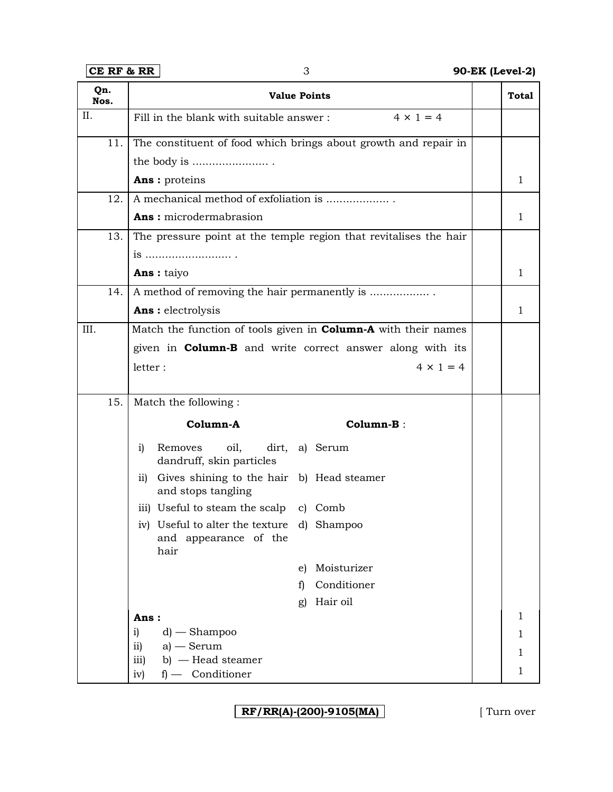| $CE$ RF & RR<br>3 |                     |                                                                             | 90-EK (Level-2) |                                                                       |              |
|-------------------|---------------------|-----------------------------------------------------------------------------|-----------------|-----------------------------------------------------------------------|--------------|
| Qn.<br>Nos.       |                     | <b>Value Points</b>                                                         |                 |                                                                       | <b>Total</b> |
| II.               |                     | Fill in the blank with suitable answer:                                     |                 | $4 \times 1 = 4$                                                      |              |
| 11.               |                     |                                                                             |                 | The constituent of food which brings about growth and repair in       |              |
|                   |                     | the body is                                                                 |                 |                                                                       |              |
|                   |                     | Ans : proteins                                                              |                 |                                                                       | 1            |
| 12.               |                     | A mechanical method of exfoliation is                                       |                 |                                                                       |              |
|                   |                     | Ans: microdermabrasion                                                      |                 |                                                                       | $\mathbf{1}$ |
| 13.               |                     |                                                                             |                 | The pressure point at the temple region that revitalises the hair     |              |
|                   |                     | is                                                                          |                 |                                                                       |              |
|                   |                     | <b>Ans:</b> taiyo                                                           |                 |                                                                       | 1            |
| 14.               |                     | A method of removing the hair permanently is                                |                 |                                                                       |              |
|                   |                     | Ans : electrolysis                                                          |                 |                                                                       | $\mathbf{1}$ |
| III.              |                     |                                                                             |                 | Match the function of tools given in <b>Column-A</b> with their names |              |
|                   |                     |                                                                             |                 | given in <b>Column-B</b> and write correct answer along with its      |              |
|                   | letter:             |                                                                             |                 | $4 \times 1 = 4$                                                      |              |
|                   |                     |                                                                             |                 |                                                                       |              |
| 15.               |                     | Match the following:                                                        |                 |                                                                       |              |
|                   |                     | Column-A                                                                    |                 | Column-B:                                                             |              |
|                   | i)                  | Removes<br>oil,<br>dirt,<br>dandruff, skin particles                        |                 | a) Serum                                                              |              |
|                   | $\overline{11}$     | Gives shining to the hair b) Head steamer<br>and stops tangling             |                 |                                                                       |              |
|                   |                     | iii) Useful to steam the scalp c) Comb                                      |                 |                                                                       |              |
|                   |                     | iv) Useful to alter the texture d) Shampoo<br>and appearance of the<br>hair |                 |                                                                       |              |
|                   |                     |                                                                             | e)              | Moisturizer                                                           |              |
|                   |                     |                                                                             | f)              | Conditioner                                                           |              |
|                   |                     |                                                                             | g)              | Hair oil                                                              |              |
|                   | Ans:                |                                                                             |                 |                                                                       | $\mathbf 1$  |
|                   | i)<br>$\mathbf{ii}$ | $d$ ) — Shampoo<br>$a$ – Serum                                              |                 |                                                                       | 1            |
|                   | iii)                | $b)$ – Head steamer                                                         |                 |                                                                       | 1            |
|                   | iv)                 | f) - Conditioner                                                            |                 |                                                                       | 1            |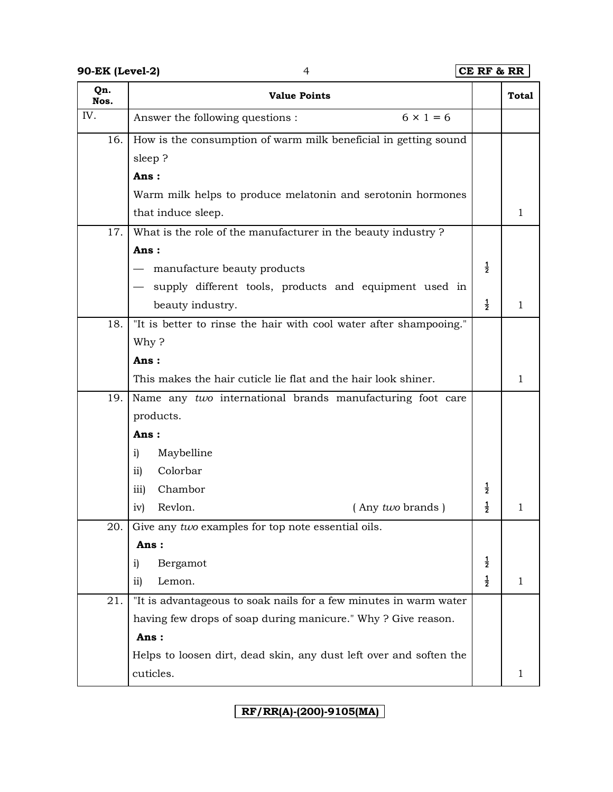| Qn.<br>Nos. | <b>Value Points</b>                                                |               | Total        |
|-------------|--------------------------------------------------------------------|---------------|--------------|
| IV.         | $6 \times 1 = 6$<br>Answer the following questions :               |               |              |
| 16.         | How is the consumption of warm milk beneficial in getting sound    |               |              |
|             | sleep?                                                             |               |              |
|             | Ans:                                                               |               |              |
|             | Warm milk helps to produce melatonin and serotonin hormones        |               |              |
|             | that induce sleep.                                                 |               | $\mathbf{1}$ |
| 17.         | What is the role of the manufacturer in the beauty industry?       |               |              |
|             | Ans:                                                               |               |              |
|             | manufacture beauty products                                        | $\frac{1}{2}$ |              |
|             | supply different tools, products and equipment used in             |               |              |
|             | beauty industry.                                                   | $\frac{1}{2}$ | 1            |
| 18.         | "It is better to rinse the hair with cool water after shampooing." |               |              |
|             | Why?                                                               |               |              |
|             | Ans:                                                               |               |              |
|             | This makes the hair cuticle lie flat and the hair look shiner.     |               | 1            |
| 19.         | Name any two international brands manufacturing foot care          |               |              |
|             | products.                                                          |               |              |
|             | Ans:                                                               |               |              |
|             | Maybelline<br>i)                                                   |               |              |
|             | Colorbar<br>$\overline{11}$                                        |               |              |
|             | Chambor<br>iii)                                                    | $\frac{1}{2}$ |              |
|             | Revlon.<br>(Any two brands)<br>iv)                                 | $\frac{1}{2}$ | 1            |
| 20.         | Give any two examples for top note essential oils.                 |               |              |
|             | Ans:                                                               |               |              |
|             | Bergamot<br>i)                                                     | $\frac{1}{2}$ |              |
|             | ii)<br>Lemon.                                                      | $\frac{1}{2}$ | $\mathbf 1$  |
| 21.         | "It is advantageous to soak nails for a few minutes in warm water  |               |              |
|             | having few drops of soap during manicure." Why? Give reason.       |               |              |
|             | Ans:                                                               |               |              |
|             | Helps to loosen dirt, dead skin, any dust left over and soften the |               |              |
|             | cuticles.                                                          |               | 1            |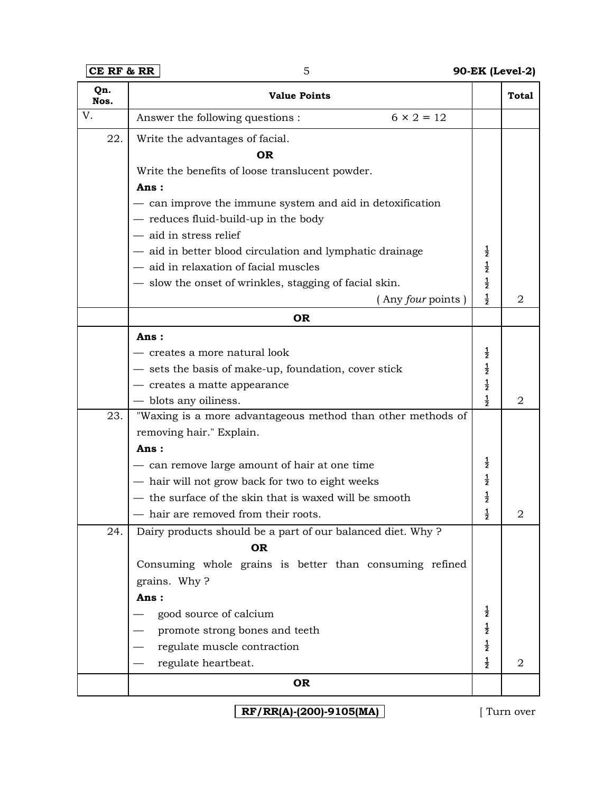**CE RF & RR** 5 **90-EK (Level-2)**

| Qn.<br>Nos. | <b>Value Points</b>                                         |               | <b>Total</b> |
|-------------|-------------------------------------------------------------|---------------|--------------|
| V.          | $6 \times 2 = 12$<br>Answer the following questions :       |               |              |
| 22.         | Write the advantages of facial.                             |               |              |
|             | ΩR                                                          |               |              |
|             | Write the benefits of loose translucent powder.             |               |              |
|             | Ans:                                                        |               |              |
|             | - can improve the immune system and aid in detoxification   |               |              |
|             | - reduces fluid-build-up in the body                        |               |              |
|             | - aid in stress relief                                      |               |              |
|             | - aid in better blood circulation and lymphatic drainage    | $\frac{1}{2}$ |              |
|             | - aid in relaxation of facial muscles                       | $\frac{1}{2}$ |              |
|             | - slow the onset of wrinkles, stagging of facial skin.      | $\frac{1}{2}$ |              |
|             | (Any four points)                                           | $\frac{1}{2}$ | 2            |
|             | <b>OR</b>                                                   |               |              |
|             | Ans:                                                        |               |              |
|             | - creates a more natural look                               | $\frac{1}{2}$ |              |
|             | - sets the basis of make-up, foundation, cover stick        | $\frac{1}{2}$ |              |
|             | - creates a matte appearance                                | $\frac{1}{2}$ |              |
|             | - blots any oiliness.                                       | $\frac{1}{2}$ | 2            |
| 23.         | "Waxing is a more advantageous method than other methods of |               |              |
|             | removing hair." Explain.                                    |               |              |
|             | Ans:                                                        |               |              |
|             | - can remove large amount of hair at one time               | $\frac{1}{2}$ |              |
|             | - hair will not grow back for two to eight weeks            | $\frac{1}{2}$ |              |
|             | - the surface of the skin that is waxed will be smooth      | $\frac{1}{2}$ |              |
|             | - hair are removed from their roots.                        | $\frac{1}{2}$ | 2            |
| 24.         | Dairy products should be a part of our balanced diet. Why?  |               |              |
|             | <b>OR</b>                                                   |               |              |
|             | Consuming whole grains is better than consuming refined     |               |              |
|             | grains. Why?                                                |               |              |
|             | Ans:                                                        |               |              |
|             | good source of calcium                                      | $\frac{1}{2}$ |              |
|             | promote strong bones and teeth                              | $\frac{1}{2}$ |              |
|             | regulate muscle contraction                                 | $\frac{1}{2}$ |              |
|             | regulate heartbeat.                                         | $\frac{1}{2}$ | 2            |
|             | OR                                                          |               |              |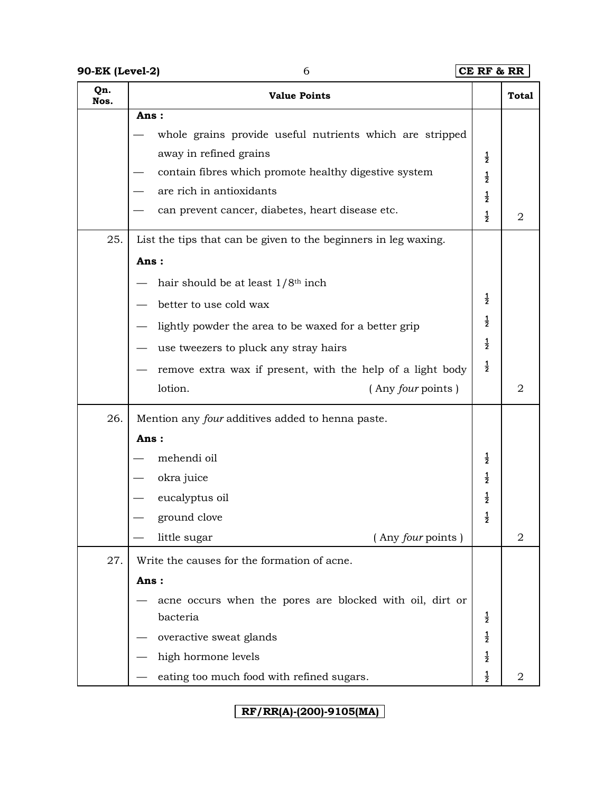**90-EK (Level-2)** 6 **CE RF & RR** 

| Qn.<br>Nos. | <b>Value Points</b>                                             |               | <b>Total</b> |
|-------------|-----------------------------------------------------------------|---------------|--------------|
|             | Ans:                                                            |               |              |
|             | whole grains provide useful nutrients which are stripped        |               |              |
|             | away in refined grains                                          | $\frac{1}{2}$ |              |
|             | contain fibres which promote healthy digestive system           | $\frac{1}{2}$ |              |
|             | are rich in antioxidants                                        | $\frac{1}{2}$ |              |
|             | can prevent cancer, diabetes, heart disease etc.                | $\frac{1}{2}$ | 2            |
| 25.         | List the tips that can be given to the beginners in leg waxing. |               |              |
|             | Ans:                                                            |               |              |
|             | hair should be at least $1/8$ <sup>th</sup> inch                |               |              |
|             | better to use cold wax                                          | $\frac{1}{2}$ |              |
|             | lightly powder the area to be waxed for a better grip           | $\frac{1}{2}$ |              |
|             | use tweezers to pluck any stray hairs                           | $\frac{1}{2}$ |              |
|             | remove extra wax if present, with the help of a light body      | $\frac{1}{2}$ |              |
|             | lotion.<br>(Any four points)                                    |               | 2            |
| 26.         | Mention any four additives added to henna paste.                |               |              |
|             | Ans:                                                            |               |              |
|             | mehendi oil                                                     | $\frac{1}{2}$ |              |
|             | okra juice                                                      | $\frac{1}{2}$ |              |
|             | eucalyptus oil                                                  | $\frac{1}{2}$ |              |
|             | ground clove                                                    | $\frac{1}{2}$ |              |
|             | (Any four points)<br>little sugar                               |               | 2            |
| 27.         | Write the causes for the formation of acne.                     |               |              |
|             | Ans:                                                            |               |              |
|             | acne occurs when the pores are blocked with oil, dirt or        |               |              |
|             | bacteria                                                        | $\frac{1}{2}$ |              |
|             | overactive sweat glands                                         | $\frac{1}{2}$ |              |
|             | high hormone levels                                             | $\frac{1}{2}$ |              |
|             | eating too much food with refined sugars.                       | $\frac{1}{2}$ | 2            |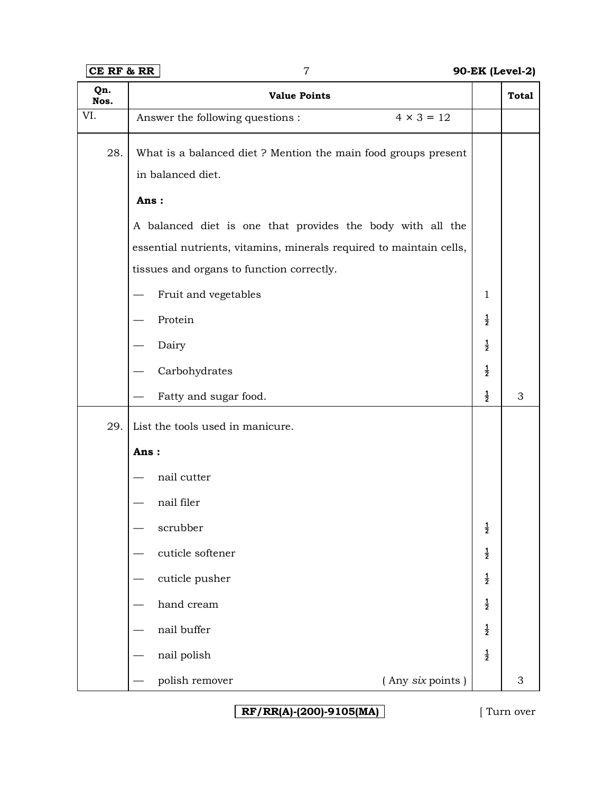| Qn.<br>Nos. | <b>Value Points</b>                                                                 |                 | <b>Total</b> |
|-------------|-------------------------------------------------------------------------------------|-----------------|--------------|
| VI.         | $4 \times 3 = 12$<br>Answer the following questions :                               |                 |              |
| 28.         | What is a balanced diet ? Mention the main food groups present<br>in balanced diet. |                 |              |
|             | Ans:                                                                                |                 |              |
|             | A balanced diet is one that provides the body with all the                          |                 |              |
|             | essential nutrients, vitamins, minerals required to maintain cells,                 |                 |              |
|             | tissues and organs to function correctly.                                           |                 |              |
|             | Fruit and vegetables                                                                | $\mathbf{1}$    |              |
|             | Protein                                                                             | $\frac{1}{2}$   |              |
|             | Dairy                                                                               | $\frac{1}{2}$   |              |
|             | Carbohydrates                                                                       | $\frac{1}{2}$   |              |
|             | Fatty and sugar food.                                                               | $\frac{1}{2}$   | 3            |
| 29.         | List the tools used in manicure.                                                    |                 |              |
|             | Ans:                                                                                |                 |              |
|             | nail cutter                                                                         |                 |              |
|             | nail filer                                                                          |                 |              |
|             | scrubber                                                                            | $\dot{\bar{z}}$ |              |
|             | cuticle softener                                                                    | $\frac{1}{2}$   |              |
|             | cuticle pusher                                                                      | $\frac{1}{2}$   |              |
|             | hand cream                                                                          | $\frac{1}{2}$   |              |
|             | nail buffer                                                                         | $\frac{1}{2}$   |              |
|             | nail polish                                                                         | $\frac{1}{2}$   |              |
|             | (Any six points)<br>polish remover                                                  |                 | 3            |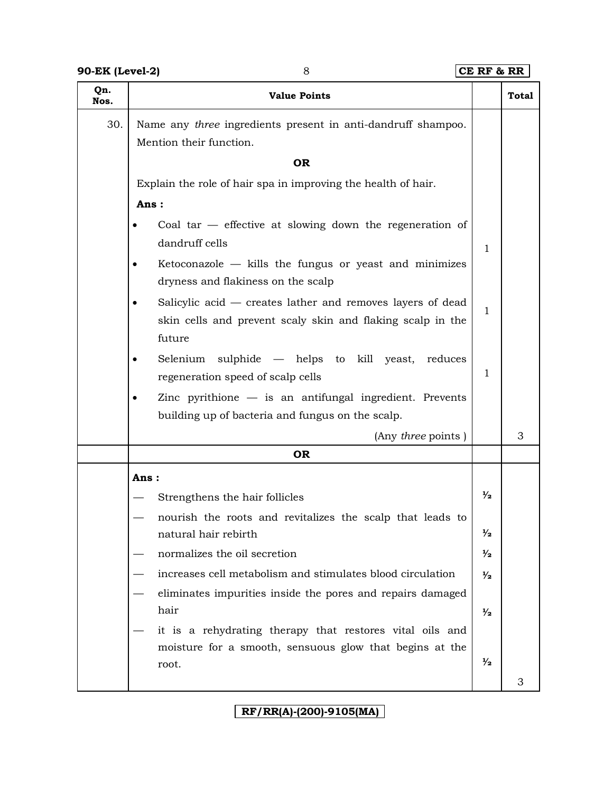| Qn.  |                                                                                                                                    |               |              |
|------|------------------------------------------------------------------------------------------------------------------------------------|---------------|--------------|
| Nos. | <b>Value Points</b>                                                                                                                |               | <b>Total</b> |
| 30.  | Name any three ingredients present in anti-dandruff shampoo.                                                                       |               |              |
|      | Mention their function.                                                                                                            |               |              |
|      | <b>OR</b>                                                                                                                          |               |              |
|      | Explain the role of hair spa in improving the health of hair.                                                                      |               |              |
|      | Ans:                                                                                                                               |               |              |
|      | Coal tar $-$ effective at slowing down the regeneration of<br>dandruff cells                                                       | $\mathbf{1}$  |              |
|      | Ketoconazole $-$ kills the fungus or yeast and minimizes<br>dryness and flakiness on the scalp                                     |               |              |
|      | Salicylic acid - creates lather and removes layers of dead<br>skin cells and prevent scaly skin and flaking scalp in the<br>future | $\mathbf{1}$  |              |
|      | Selenium<br>sulphide — helps to kill yeast,<br>reduces<br>regeneration speed of scalp cells                                        | $\mathbf 1$   |              |
|      | Zinc pyrithione $-$ is an antifungal ingredient. Prevents                                                                          |               |              |
|      | building up of bacteria and fungus on the scalp.                                                                                   |               |              |
|      | (Any three points)                                                                                                                 |               | 3            |
|      | <b>OR</b>                                                                                                                          |               |              |
|      | Ans:                                                                                                                               |               |              |
|      | Strengthens the hair follicles                                                                                                     | $\frac{1}{2}$ |              |
|      | nourish the roots and revitalizes the scalp that leads to                                                                          |               |              |
|      | natural hair rebirth                                                                                                               | $\frac{1}{2}$ |              |
|      | normalizes the oil secretion                                                                                                       | $\frac{1}{2}$ |              |
|      | increases cell metabolism and stimulates blood circulation                                                                         | $\frac{1}{2}$ |              |
|      | eliminates impurities inside the pores and repairs damaged<br>hair                                                                 | $\frac{1}{2}$ |              |
|      | it is a rehydrating therapy that restores vital oils and                                                                           |               |              |
|      | moisture for a smooth, sensuous glow that begins at the                                                                            |               |              |
|      | root.                                                                                                                              | $\frac{1}{2}$ |              |
|      |                                                                                                                                    |               | 3            |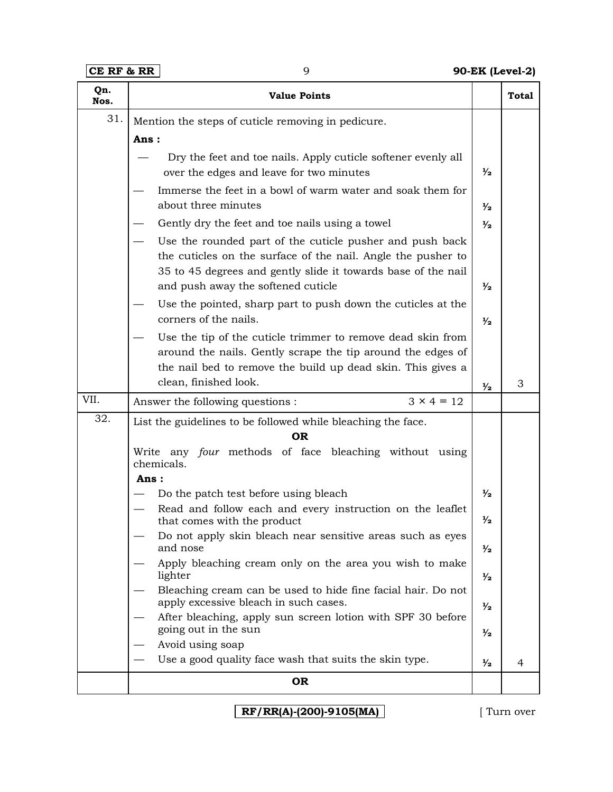**CE RF & RR** 9 **90-EK (Level-2)**

| Qn.<br>Nos. | <b>Value Points</b>                                                                                                                                                                       |               | <b>Total</b> |
|-------------|-------------------------------------------------------------------------------------------------------------------------------------------------------------------------------------------|---------------|--------------|
| 31.         | Mention the steps of cuticle removing in pedicure.                                                                                                                                        |               |              |
|             | Ans:                                                                                                                                                                                      |               |              |
|             | Dry the feet and toe nails. Apply cuticle softener evenly all<br>over the edges and leave for two minutes                                                                                 | $\frac{1}{2}$ |              |
|             | Immerse the feet in a bowl of warm water and soak them for<br>about three minutes                                                                                                         | $\frac{1}{2}$ |              |
|             | Gently dry the feet and toe nails using a towel                                                                                                                                           | $\frac{1}{2}$ |              |
|             | Use the rounded part of the cuticle pusher and push back<br>the cuticles on the surface of the nail. Angle the pusher to<br>35 to 45 degrees and gently slide it towards base of the nail |               |              |
|             | and push away the softened cuticle                                                                                                                                                        | $\frac{1}{2}$ |              |
|             | Use the pointed, sharp part to push down the cuticles at the<br>corners of the nails.                                                                                                     | $\frac{1}{2}$ |              |
|             | Use the tip of the cuticle trimmer to remove dead skin from<br>around the nails. Gently scrape the tip around the edges of                                                                |               |              |
|             | the nail bed to remove the build up dead skin. This gives a                                                                                                                               |               |              |
|             | clean, finished look.                                                                                                                                                                     | $\frac{1}{2}$ | 3            |
| VII.        | $3 \times 4 = 12$<br>Answer the following questions :                                                                                                                                     |               |              |
| 32.         | List the guidelines to be followed while bleaching the face.                                                                                                                              |               |              |
|             | <b>OR</b><br>Write any four methods of face bleaching without using<br>chemicals.                                                                                                         |               |              |
|             | Ans:                                                                                                                                                                                      |               |              |
|             | Do the patch test before using bleach                                                                                                                                                     | $\frac{1}{2}$ |              |
|             | Read and follow each and every instruction on the leaflet<br>that comes with the product                                                                                                  | $\frac{1}{2}$ |              |
|             | Do not apply skin bleach near sensitive areas such as eyes<br>and nose                                                                                                                    | $\frac{1}{2}$ |              |
|             | Apply bleaching cream only on the area you wish to make<br>lighter                                                                                                                        | $\frac{1}{2}$ |              |
|             | Bleaching cream can be used to hide fine facial hair. Do not<br>apply excessive bleach in such cases.                                                                                     | $\frac{1}{2}$ |              |
|             | After bleaching, apply sun screen lotion with SPF 30 before<br>going out in the sun                                                                                                       | $\frac{1}{2}$ |              |
|             | Avoid using soap                                                                                                                                                                          |               |              |
|             | Use a good quality face wash that suits the skin type.                                                                                                                                    | $\frac{1}{2}$ | 4            |
|             | <b>OR</b>                                                                                                                                                                                 |               |              |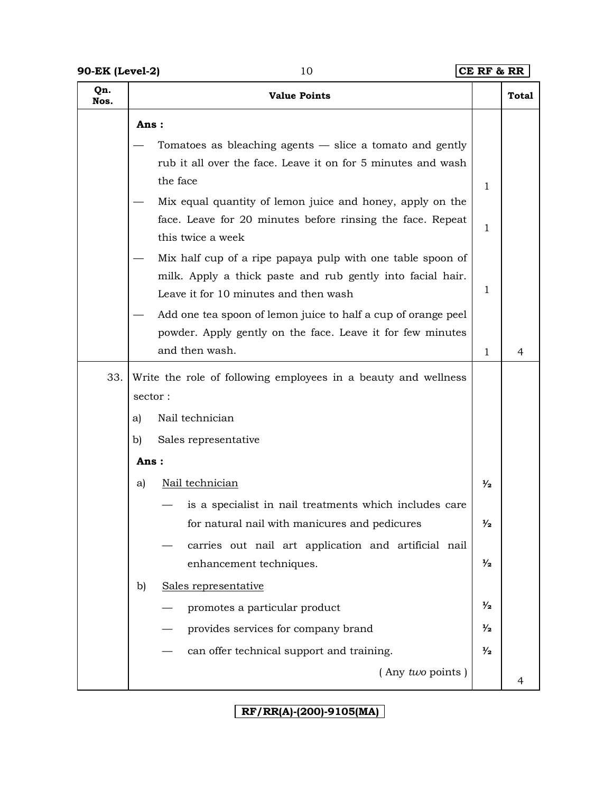| Qn.<br>Nos. |         | <b>Value Points</b>                                                                                                                                               |               | <b>Total</b> |
|-------------|---------|-------------------------------------------------------------------------------------------------------------------------------------------------------------------|---------------|--------------|
|             | Ans:    |                                                                                                                                                                   |               |              |
|             |         | Tomatoes as bleaching agents $-$ slice a tomato and gently<br>rub it all over the face. Leave it on for 5 minutes and wash<br>the face                            |               |              |
|             |         | Mix equal quantity of lemon juice and honey, apply on the<br>face. Leave for 20 minutes before rinsing the face. Repeat<br>this twice a week                      | 1<br>1        |              |
|             |         | Mix half cup of a ripe papaya pulp with one table spoon of<br>milk. Apply a thick paste and rub gently into facial hair.<br>Leave it for 10 minutes and then wash | 1             |              |
|             |         | Add one tea spoon of lemon juice to half a cup of orange peel<br>powder. Apply gently on the face. Leave it for few minutes<br>and then wash.                     | 1             | 4            |
| 33.         |         | Write the role of following employees in a beauty and wellness                                                                                                    |               |              |
|             | sector: |                                                                                                                                                                   |               |              |
|             | a)      | Nail technician                                                                                                                                                   |               |              |
|             | b)      | Sales representative                                                                                                                                              |               |              |
|             | Ans:    |                                                                                                                                                                   |               |              |
|             | a)      | Nail technician                                                                                                                                                   | $\frac{1}{2}$ |              |
|             |         | is a specialist in nail treatments which includes care                                                                                                            |               |              |
|             |         | for natural nail with manicures and pedicures                                                                                                                     | $\frac{1}{2}$ |              |
|             |         | carries out nail art application and artificial nail<br>enhancement techniques.                                                                                   | $\frac{1}{2}$ |              |
|             | b)      | Sales representative                                                                                                                                              |               |              |
|             |         | promotes a particular product                                                                                                                                     | $\frac{1}{2}$ |              |
|             |         | provides services for company brand                                                                                                                               | $\frac{1}{2}$ |              |
|             |         | can offer technical support and training.                                                                                                                         | $\frac{1}{2}$ |              |
|             |         | (Any two points)                                                                                                                                                  |               | 4            |